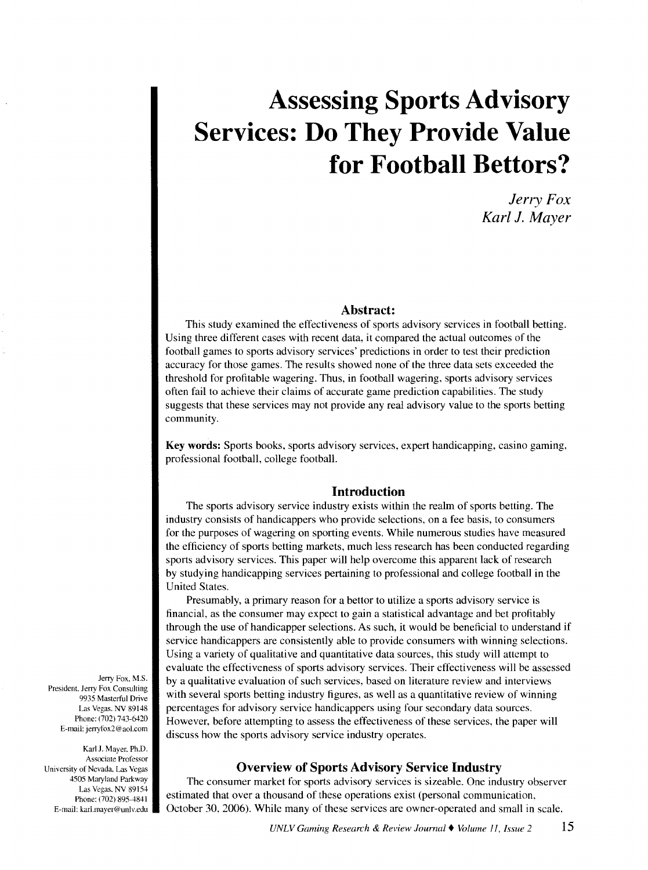## **Assessing Sports Advisory Services: Do They Provide Value for Football Bettors?**

*Jerry Fox Karl* J. *Mayer* 

#### **Abstract:**

This study examined the effectiveness of sports advisory services in football betting. Using three different cases with recent data, it compared the actual outcomes of the football games to sports advisory services' predictions in order to test their prediction accuracy for those games. The results showed none of the three data sets exceeded the threshold for profitable wagering. Thus, in football wagering, sports advisory services often fail to achieve their claims of accurate game prediction capabilities. The study suggests that these services may not provide any real advisory value to the sports betting community.

Key words: Sports books, sports advisory services, expert handicapping, casino gaming, professional football, college football.

#### **Introduction**

The sports advisory service industry exists within the realm of sports betting. The industry consists of handicappers who provide selections, on a fee basis, to consumers for the purposes of wagering on sporting events. While numerous studies have measured the efficiency of sports betting markets, much less research has been conducted regarding sports advisory services. This paper will help overcome this apparent lack of research by studying handicapping services pertaining to professional and college football in the United States.

Presumably, a primary reason for a bettor to utilize a sports advisory service is financial, as the consumer may expect to gain a statistical advantage and bet profitably through the use of handicapper selections. As such, it would be beneficial to understand if service handicappers are consistently able to provide consumers with winning selections. Using a variety of qualitative and quantitative data sources, this study will attempt to evaluate the effectiveness of sports advisory services. Their effectiveness will be assessed by a qualitative evaluation of such services, based on literature review and interviews with several sports betting industry figures, as well as a quantitative review of winning percentages for advisory service handicappers using four secondary data sources. However, before attempting to assess the effectiveness of these services, the paper will discuss how the sports advisory service industry operates.

#### **Overview of Sports Advisory Service Industry**

The consumer market for sports advisory services is sizeable. One industry observer estimated that over a thousand of these operations exist (personal communication, October 30, 2006). While many of these services are owner-operated and small in scale,

Jerry Fox, M.S. President. Jerry Fox Consulting 9935 Masterful Drive Las Vegas. NV 89148 Phone: (702) 743-6420 E-mail: jerryfox2@aol.com

Karl J. Mayer. Ph.D. Associate Professor University of Nevada, Las Vegas -1505 Maryland Parkway Las Vegas. NV 89154 Phone: (702) 895-4841 E-mail: karl.mayer@unlv.edu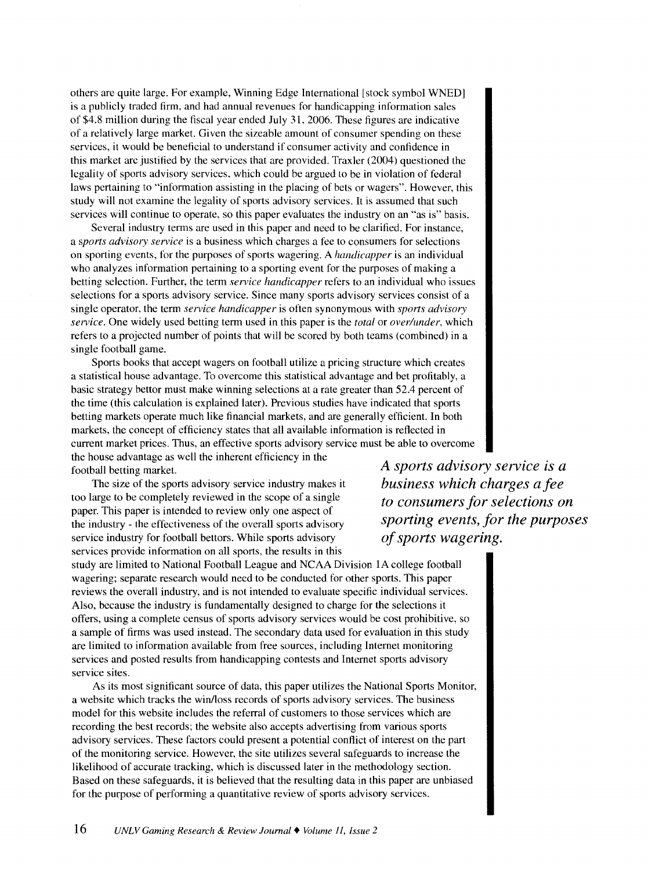others are quite large. For example, Winning Edge International [stock symbol WNED] is a publicly traded firm, and had annual revenues for handicapping information sales of \$4.8 million during the fiscal year ended July 31. 2006. These figures are indicative of a relatively large market. Given the sizeable amount of consumer spending on these services, it would be beneficial to understand if consumer activity and confidence in this market arc justified by the services that are provided. Traxler (2004) questioned the legality of sports advisory services. which could be argued to be in violation of federal laws pertaining to "information assisting in the placing of bets or wagers". However, this study will not examine the legality of sports advisory services. It is assumed that such services will continue to operate, so this paper evaluates the industry on an "as is" basis.

Several industry terms are used in this paper and need to be clarified. For instance, a *sports advisory service* is a business which charges a fee to consumers for selections on sporting events, for the purposes of sports wagering. A *handicapper* is an individual who analyzes information pertaining to a sporting event for the purposes of making a betting selection. Further, the term *sen*1*ice handicapper* refers to an individual who issues selections for a sports advisory service. Since many sports advisory services consist of a single operator, the term *service handicapper* is often synonymous with *sports advisory service.* One widely used betting term used in this paper is the *total* or *over/under,* which refers to a projected number of points that will be scored by both teams (combined) in a single football game.

Sports books that accept wagers on football utilize a pricing structure which creates a statistical house advantage. To overcome this statistical advantage and bet profitably, a basic strategy bettor must make winning selections at a rate greater than 52.4 percent of the time (this calculation is explained later). Previous studies have indicated that sports betting markets operate much like financial markets, and are generally efficient. In both markets, the concept of efficiency states that all available information is reflected in current market prices. Thus, an effective sports advisory service must be able to overcome the house advantage as well the inherent efficiency in the football betting market.

The size of the sports advisory service industry makes it too large to be completely reviewed in the scope of a single paper. This paper is intended to review only one aspect of the industry - the effectiveness of the overall sports advisory service industry for football bettors. While sports advisory services provide information on all sports, the results in this

study are limited to National Football League and NCAA Division lA college football wagering; separate research would need to be conducted for other sports. This paper reviews the overall industry, and is not intended to evaluate specific individual services. Also, because the industry is fundamentally designed to charge for the selections it offers, using a complete census of sports advisory services would be cost prohibitive, so a sample of firms was used instead. The secondary data used for evaluation in this study are limited to information available from free sources, including Internet monitoring services and posted results from handicapping contests and Internet sports advisory service sites.

As its most significant source of data, this paper utilizes the National Sports Monitor, a website which tracks the win/loss records of sports advisory services. The business model for this website includes the referral of customers to those services which are recording the best records; the website also accepts advertising from various sports advisory services. These factors could present a potential conflict of interest on the part of the monitoring service. However, the site utilizes several safeguards to increase the likelihood of accurate tracking, which is discussed later in the methodology section. Based on these safeguards, it is believed that the resulting data in this paper are unbiased for the purpose of performing a quantitative review of sports advisory services.

*A sports advisory service is a business which charges a fee to consumers for selections on sporting events, for the purposes of sports wagering.*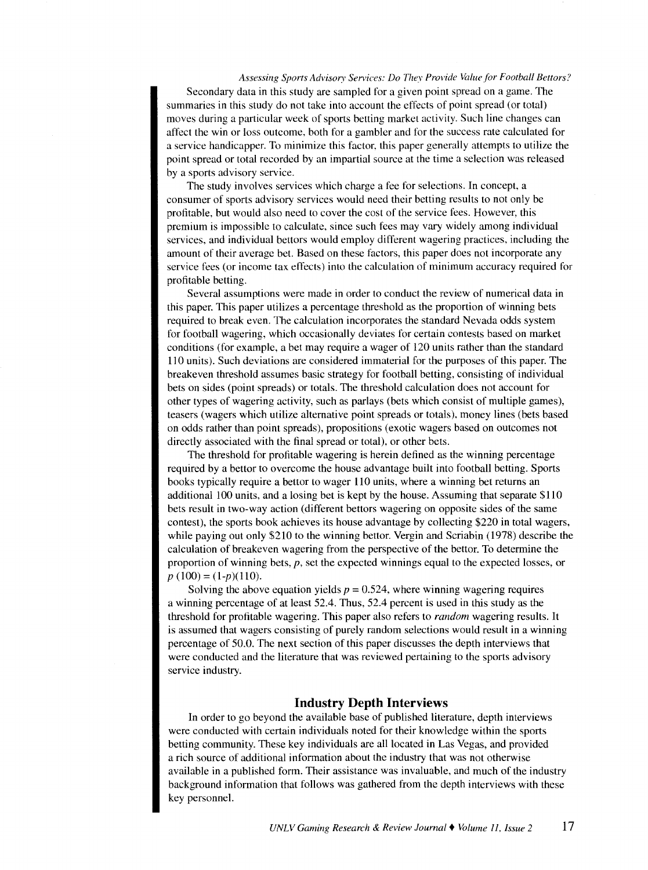*Assessing Sports Advisory Sen•ices: Do They Provide Value for Football Bettors?*  Secondary data in this study are sampled for a given point spread on a game. The summaries in this study do not take into account the effects of point spread (or total) moves during a particular week of sports betting market activity. Such line changes can affect the win or loss outcome, both for a gambler and for the success rate calculated for a service handicapper. To minimize this factor. this paper generally attempts to utilize the point spread or total recorded by an impartial source at the time a selection was released by a sports advisory service.

The study involves services which charge a fee for selections. In concept, a consumer of sports advisory services would need their betting results to not only be profitable, but would also need to cover the cost of the service fees. However, this premium is impossible to calculate, since such fees may vary widely among individual services. and individual bettors would employ different wagering practices, including the amount of their average bet. Based on these factors, this paper docs not incorporate any service fees (or income tax effects) into the calculation of minimum accuracy required for profitable betting.

Several assumptions were made in order to conduct the review of numerical data in this paper. This paper utilizes a percentage threshold as the proportion of winning bets required to break even. The calculation incorporates the standard Nevada odds system for football wagering, which occasionally deviates for certain contests based on market conditions (for example, a bet may require a wager of 120 units rather than the standard 110 units). Such deviations are considered immaterial for the purposes of this paper. The breakeven threshold assumes basic strategy for football betting, consisting of individual bets on sides (point spreads) or totals. The threshold calculation does not account for other types of wagering activity, such as parlays (bets which consist of multiple games), teasers (wagers which utilize alternative point spreads or totals), money lines (bets based on odds rather than point spreads), propositions (exotic wagers based on outcomes not directly associated with the final spread or total), or other bets.

The threshold for profitable wagering is herein defined as the winning percentage required by a bettor to overcome the house advantage built into football betting. Sports books typically require a bettor to wager 110 units, where a winning bet returns an additional 100 units, and a losing bet is kept by the house. Assuming that separate \$110 bets result in two-way action (different bettors wagering on opposite sides of the same contest), the sports book achieves its house advantage by collecting \$220 in total wagers, while paying out only \$210 to the winning bettor. Vergin and Scriabin (1978) describe the calculation of breakeven wagering from the perspective of the bettor. To determine the proportion of winning bets,  $p$ , set the expected winnings equal to the expected losses, or  $p(100) = (1-p)(110).$ 

Solving the above equation yields  $p = 0.524$ , where winning wagering requires a winning percentage of at least 52.4. Thus, 52.4 percent is used in this study as the threshold for profitable wagering. This paper also refers to *random* wagering results. It is assumed that wagers consisting of purely random selections would result in a winning percentage of 50.0. The next section of this paper discusses the depth interviews that were conducted and the literature that was reviewed pertaining to the sports advisory service industry.

#### **Industry Depth Interviews**

In order to go beyond the available base of published literature, depth interviews were conducted with certain individuals noted for their knowledge within the sports betting community. These key individuals are all located in Las Vegas, and provided a rich source of additional information about the industry that was not otherwise available in a published form. Their assistance was invaluable, and much of the industry background information that follows was gathered from the depth interviews with these key personnel.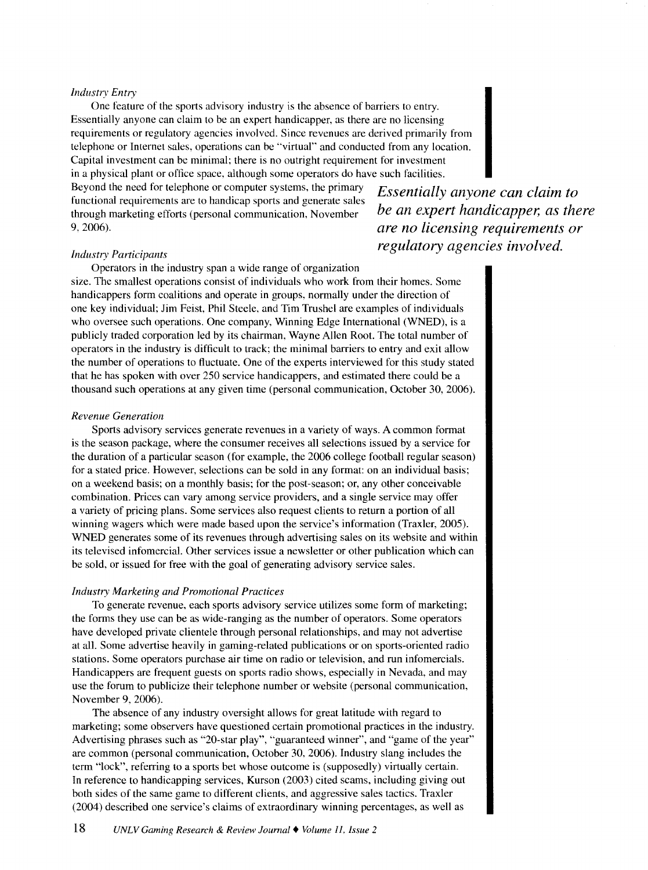#### *Industry Entry*

One feature of the sports advisory industry is the absence of barriers to entry. Essentially anyone can claim to be an expert handicapper. as there are no licensing requirements or regulatory agencies involved. Since revenues are derived primarily from telephone or Internet sales, operations can be "virtual" and conducted from any location. Capital investment can be minimal; there is no outright requirement for investment in a physical plant or office space, although some operators do have such facilities. Beyond the need for telephone or computer systems, the primary *Essentially anyone can claim to* 

through marketing efforts (personal communication, November 9, 2006). *are no licensing requirements or* 

# functiOnal reqmrements are to handicap sports and generate sales . *Industry Participants regulatory agencies involved.*

Operators in the industry span a wide range of organization size. The smallest operations consist of individuals who work from their homes. Some handicappers form coalitions and operate in groups, normally under the direction of one key individual; Jim Feist, Phil Steele, and Tim Trushel are examples of individuals who oversee such operations. One company, Winning Edge International (WNED), is a publicly traded corporation led by its chairman, Wayne Allen Root. The total number of operators in the industry is difficult to track; the minimal barriers to entry and exit allow the number of operations to fluctuate. One of the experts interviewed for this study stated that he has spoken with over 250 service handicappers, and estimated there could be a thousand such operations at any given time (personal communication, October 30, 2006).

#### *Revenue Generation*

Sports advisory services generate revenues in a variety of ways. A common format is the season package, where the consumer receives all selections issued by a service for the duration of a particular season (for example, the 2006 college football regular season) for a stated price. However, selections can be sold in any format: on an individual basis; on a weekend basis; on a monthly basis; for the post-season; or, any other conceivable combination. Prices can vary among service providers, and a single service may offer a variety of pricing plans. Some services also request clients to return a portion of all winning wagers which were made based upon the service's information (Traxler, 2005). WNED generates some of its revenues through advertising sales on its website and within its televised infomercial. Other services issue a newsletter or other publication which can be sold, or issued for free with the goal of generating advisory service sales.

#### *Industry Marketing and Promotional Practices*

To generate revenue, each sports advisory service utilizes some form of marketing; the forms they use can be as wide-ranging as the number of operators. Some operators have developed private clientele through personal relationships, and may not advertise at all. Some advertise heavily in gaming-related publications or on sports-oriented radio stations. Some operators purchase air time on radio or television, and run infomercials. Handicappers are frequent guests on sports radio shows, especially in Nevada, and may use the forum to publicize their telephone number or website (personal communication, November 9, 2006).

The absence of any industry oversight allows for great latitude with regard to marketing; some observers have questioned certain promotional practices in the industry. Advertising phrases such as "20-star play", "guaranteed winner", and "game of the year" are common (personal communication, October 30, 2006). Industry slang includes the term "lock", referring to a sports bet whose outcome is (supposedly) virtually certain. In reference to handicapping services, Kurson (2003) cited scams, including giving out both sides of the same game to different clients, and aggressive sales tactics. Traxler (2004) described one service's claims of extraordinary winning percentages, as well as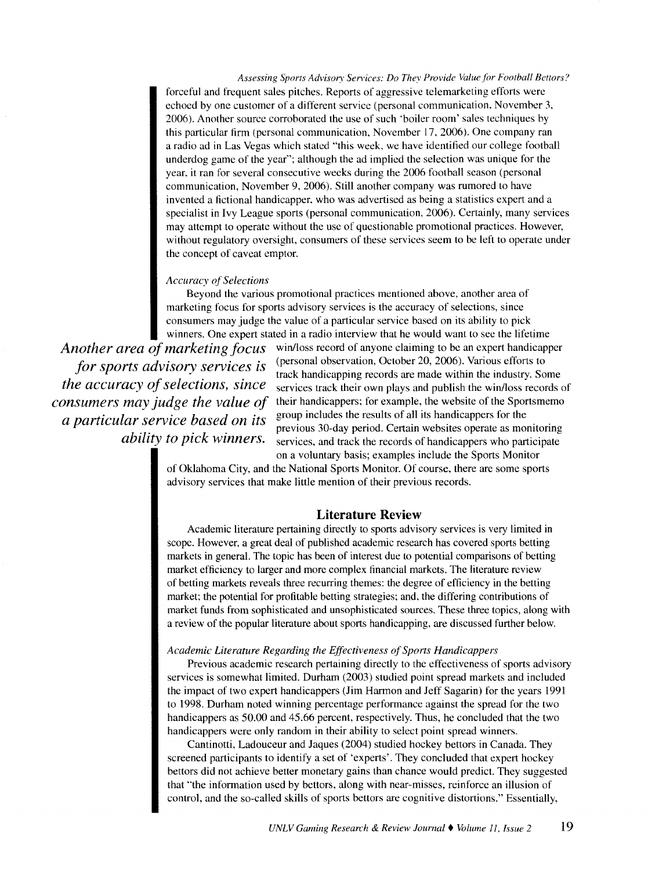#### *Assessing Sports Advisory Sen·ices: Do TheY Provide Va/uefor Football Bettors?*

forceful and frequent sales pitches. Reports of aggressive telemarketing efforts were echoed by one customer of a different service (personal communication. November 3. 2006). Another source corroborated the use of such 'boiler room' sales techniques by this particular firm (personal communication, November 17, 2006). One company ran a radio ad in Las Vegas which stated "this week. we have identified our college football underdog game of the year''; although the ad implied the selection was unique for the year. it ran for several consecutive weeks during the 2006 football season (personal communication, November 9, 2006). Still another company was rumored to have invented a fictional handicapper, who was advertised as being a statistics expert and a specialist in Ivy League sports (personal communication, 2006). Certainly, many services may attempt to operate without the use of questionable promotional practices. However, without regulatory oversight, consumers of these services seem to be left to operate under the concept of caveat emptor.

#### *Accuracy of Selections*

Beyond the various promotional practices mentioned above, another area of marketing focus for sports advisory services is the accuracy of selections, since consumers may judge the value of a particular service based on its ability to pick winners. One expert stated in a radio interview that he would want to sec the lifetime

*Another area of marketing focus* win/loss record of anyone claiming to be an expert handicapper *for sports advisory services is* (personal observation, October 20, 2006). Various efforts to  $\mu$ . The accuracy of selections, since  $\mu$  in the model of selections, since  $\mu$  and  $\mu$  are made within the measurement of selections, since  $\mu$  and  $\mu$  and  $\mu$  and  $\mu$  and  $\mu$  and  $\mu$  are  $\mu$  and  $\mu$  and  $\mu$ services track their own plays and publish the win/loss records of *consumers may judge the value of* their handicappers; for example, the website of the Sportsmemo *a particular service based on its* group includes the results of all its handicappers for the previous 30-day period. Certain websites operate as mo<br>*ability to pick winners*, services, and track the records of handicappe previous 30-day period. Certain websites operate as monitoring *abzarrengers*, and track the records of handicappers who participate on a voluntary basis; examples include the Sports Monitor

> of Oklahoma City, and the National Sports Monitor. Of course, there are some sports advisory services that make little mention of their previous records.

#### **Literature Review**

Academic literature pertaining directly to sports advisory services is very limited in scope. However, a great deal of published academic research has covered sports betting markets in general. The topic has been of interest due to potential comparisons of betting market efficiency to larger and more complex financial markets. The literature review of betting markets reveals three recurring themes: the degree of efficiency in the betting market; the potential for profitable betting strategies; and, the differing contributions of market funds from sophisticated and unsophisticated sources. These three topics, along with a review of the popular literature about sports handicapping, are discussed further below.

#### *Academic Literature Regarding the Effectiveness of Sports Handicappers*

Previous academic research pertaining directly to the effectiveness of sports advisory services is somewhat limited. Durham (2003) studied point spread markets and included the impact of two expert handicappers (Jim Harmon and Jeti Sagarin) for the years 1991 to 1998. Durham noted winning percentage performance against the spread for the two handicappers as 50.00 and 45.66 percent, respectively. Thus, he concluded that the two handicappers were only random in their ability to select point spread winners.

Cantinotti, Ladouceur and Jaques (2004) studied hockey bettors in Canada. They screened participants to identify a set of 'experts'. They concluded that expert hockey bettors did not achieve better monetary gains than chance would predict. They suggested that "the information used by bettors, along with near-misses, reinforce an illusion of control, and the so-called skills of sports bettors are cognitive distortions." Essentially,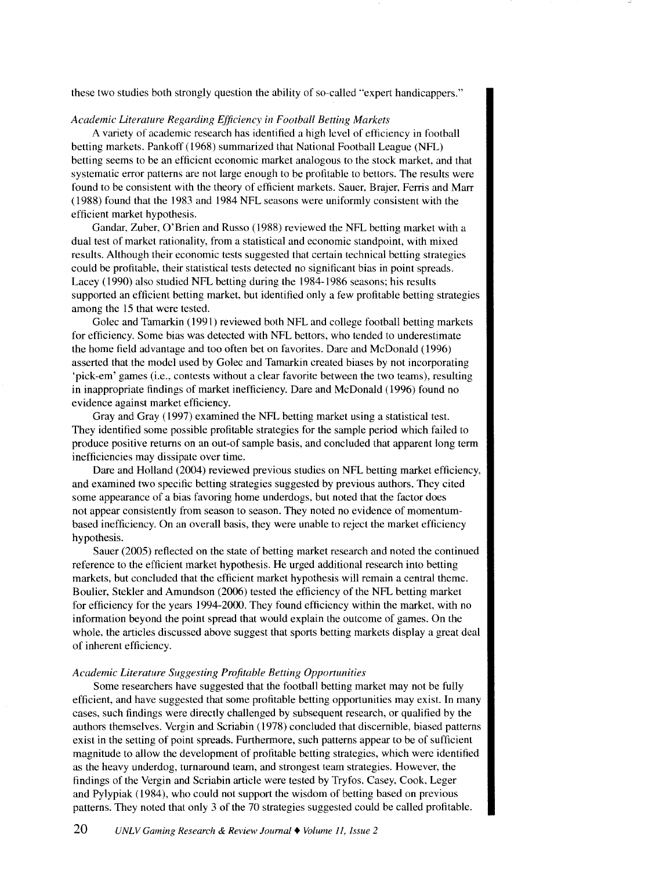these two studies both strongly question the ability of so-called "expert handicappers."

#### *Academic Literature Regarding Efficiency in Football Betting Markets*

A variety of academic research has identified a high level of efficiency in football betting markets. Pankoff ( 1968) summarized that National Football League (NFL) betting seems to be an efficient economic market analogous to the stock market, and that systematic error patterns are not large enough to be profitable to bettors. The results were found to be consistent with the theory of efficient markets. Sauer, Brajer, Ferris and Marr ( 1988) found that the 1983 and 1984 NFL seasons were uniformly consistent with the efficient market hypothesis.

Gandar, Zuber, O'Brien and Russo ( 1988) reviewed the NFL betting market with a dual test of market rationality, from a statistical and economic standpoint, with mixed results. Although their economic tests suggested that certain technical betting strategies could be profitable, their statistical tests detected no significant bias in point spreads. Lacey ( 1990) also studied NFL betting during the 1984-1986 seasons; his results supported an efficient betting market, but identified only a few profitable betting strategies among the 15 that were tested.

Golec and Tamarkin ( 1991) reviewed both NFL and college football betting markets for efficiency. Some bias was detected with NFL bettors, who tended to underestimate the home field advantage and too often bet on favorites. Dare and McDonald (1996) asserted that the model used by Golec and Tamarkin created biases by not incorporating 'pick-em' games (i.e., contests without a clear favorite between the two teams), resulting in inappropriate findings of market inefficiency. Dare and McDonald ( 1996) found no evidence against market efficiency.

Gray and Gray ( 1997) examined the NFL betting market using a statistical test. They identified some possible profitable strategies for the sample period which failed to produce positive returns on an out-of sample basis, and concluded that apparent long term inefficiencies may dissipate over time.

Dare and Holland (2004) reviewed previous studies on NFL betting market efficiency, and examined two specific betting strategies suggested by previous authors. They cited some appearance of a bias favoring home underdogs, but noted that the factor does not appear consistently from season to season. They noted no evidence of momentumbased inefficiency. On an overall basis, they were unable to reject the market efficiency hypothesis.

Sauer (2005) reflected on the state of betting market research and noted the continued reference to the efficient market hypothesis. He urged additional research into betting markets, but concluded that the efficient market hypothesis will remain a central theme. Boulier, Stekler and Amundson (2006) tested the efficiency of the NFL betting market for efficiency for the years 1994-2000. They found efficiency within the market, with no information beyond the point spread that would explain the outcome of games. On the whole, the articles discussed above suggest that sports betting markets display a great deal of inherent efficiency.

#### *Academic Literature Suggesting Profitable Betting Opportunities*

Some researchers have suggested that the football betting market may not be fully efficient, and have suggested that some profitable betting opportunities may exist. In many cases, such findings were directly challenged by subsequent research, or qualified by the authors themselves. Vergin and Scriabin ( 1978) concluded that discernible, biased patterns exist in the setting of point spreads. Furthermore, such patterns appear to be of sufficient magnitude to allow the development of profitable betting strategies, which were identified as the heavy underdog, turnaround team, and strongest team strategies. However, the findings of the Vergin and Scriabin article were tested by Tryfos. Casey, Cook. Leger and Py1ypiak (1984), who could not support the wisdom of betting based on previous patterns. They noted that only 3 of the 70 strategies suggested could be called profitable.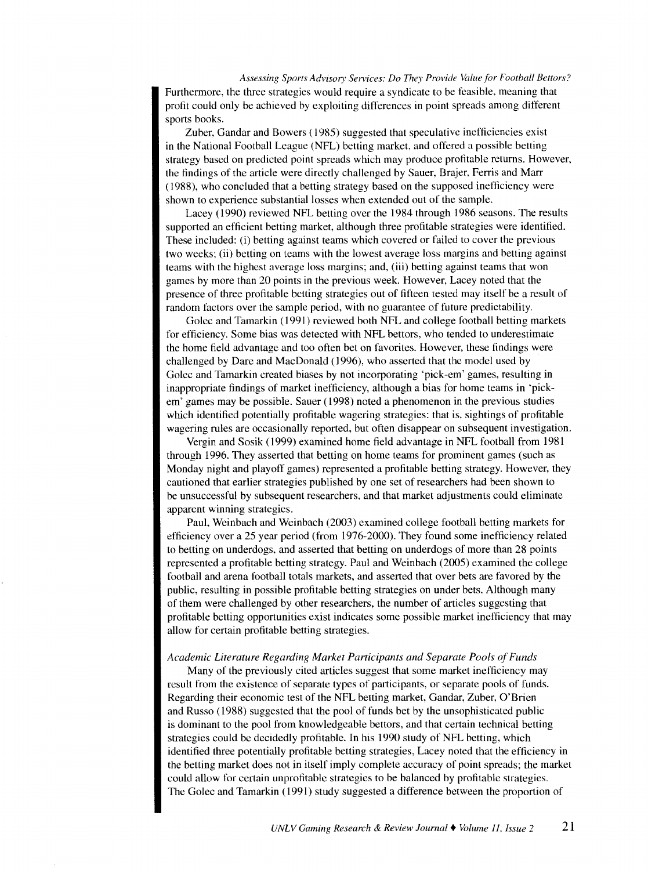*Assessing Sports Advisory Services: Do They Provide Value for Football Bettors?*  Furthermore, the three strategies would require a syndicate to be feasible. meaning that profit could only be achieved by exploiting differences in point spreads among different sports books.

Zuber, Gandar and Bowers ( 1985) suggested that speculative inefficiencies exist in the National Football League (NFL) betting market. and offered a possible betting strategy based on predicted point spreads which may produce profitable returns. However, the findings of the article were directly challenged by Sauer, Brajer. Ferris and Marr ( 1988), who concluded that a betting strategy based on the supposed inefficiency were shown to experience substantial losses when extended out of the sample.

Lacey (1990) reviewed NFL betting over the 1984 through 1986 seasons. The results supported an efficient betting market, although three profitable strategies were identified. These included: (i) betting against teams which covered or failed to cover the previous two weeks; (ii) betting on teams with the lowest average loss margins and betting against teams with the highest average loss margins; and, (iii) betting against teams that won games by more than 20 points in the previous week. However, Lacey noted that the presence of three profitable betting strategies out of fifteen tested may itself be a result of random factors over the sample period, with no guarantee of future predictability.

Golec and Tamarkin ( 1991) reviewed both NFL and college football betting markets for efficiency. Some bias was detected with NFL bettors. who tended to underestimate the home field advantage and too often bet on favorites. However, these findings were challenged by Dare and MacDonald ( 1996), who asserted that the model used by Golec and Tamarkin created biases by not incorporating 'pick-em' games, resulting in inappropriate findings of market inefficiency, although a bias for home teams in 'pickem' games may be possible. Sauer ( 1998) noted a phenomenon in the previous studies which identified potentially profitable wagering strategies: that is, sightings of profitable wagering rules are occasionally reported, but often disappear on subsequent investigation.

Vergin and Sosik (1999) examined home field advantage in NFL football from 1981 through 1996. They asserted that betting on home teams for prominent games (such as Monday night and playoff games) represented a profitable betting strategy. However, they cautioned that earlier strategies published by one set of researchers had been shown to be unsuccessful by subsequent researchers, and that market adjustments could eliminate apparent winning strategies.

Paul, Weinbach and Weinbach (2003) examined college football betting markets for efficiency over a 25 year period (from 1976-2000). They found some inefficiency related to betting on underdogs. and asserted that betting on underdogs of more than 28 points represented a profitable betting strategy. Paul and Weinbach (2005) examined the college football and arena football totals markets, and asserted that over bets are favored by the public, resulting in possible profitable betting strategies on under bets. Although many of them were challenged by other researchers, the number of articles suggesting that profitable betting opportunities exist indicates some possible market inefficiency that may allow for certain profitable betting strategies.

#### *Academic Literature Regarding Market Participants and Separate Pools of Funds*

Many of the previously cited articles suggest that some market inefficiency may result from the existence of separate types of participants, or separate pools of funds. Regarding their economic test of the NFL betting market, Gandar, Zuber, O'Brien and Russo (1988) suggested that the pool of funds bet by the unsophisticated public is dominant to the pool from knowledgeable bettors, and that certain technical betting strategies could be decidedly profitable. In his 1990 study of NFL betting, which identified three potentially profitable betting strategies, Lacey noted that the efficiency in the betting market does not in itself imply complete accuracy of point spreads; the market could allow for certain unprofitable strategies to be balanced by profitable strategies. The Golec and Tamarkin (1991) study suggested a difference between the proportion of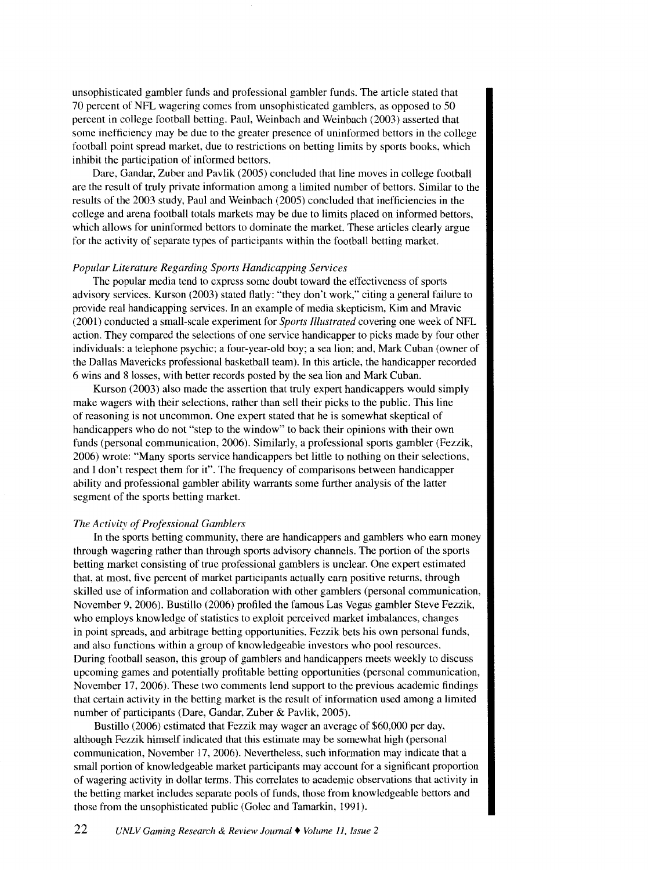unsophisticated gambler funds and professional gambler funds. The article stated that 70 percent of NFL wagering comes from unsophisticated gamblers, as opposed to 50 percent in college football betting. Paul, Weinbach and Weinbach (2003) asserted that some inefficiency may be due to the greater presence of uninformed bettors in the college football point spread market, due to restrictions on betting limits by sports books, which inhibit the participation of informed bettors.

Dare, Gandar, Zuber and Pavlik (2005) concluded that line moves in college football are the result of truly private information among a limited number of bettors. Similar to the results of the 2003 study, Paul and Weinbach (2005) concluded that inefficiencies in the college and arena football totals markets may be due to limits placed on informed bettors, which allows for uninformed bettors to dominate the market. These articles clearly argue for the activity of separate types of participants within the football betting market.

#### *Popular Literature Regarding Sports Handicapping Services*

The popular media tend to express some doubt toward the effectiveness of sports advisory services. Kurson (2003) stated flatly: "they don't work," citing a general failure to provide real handicapping services. In an example of media skepticism, Kim and Mravic (200 1) conducted a small-scale experiment for *Sports lllustrated* covering one week of NFL action. They compared the selections of one service handicapper to picks made by four other individuals: a telephone psychic: a four-year-old boy; a sea lion: and, Mark Cuban (owner of the Dallas Mavericks professional basketball team). In this article, the handicapper recorded 6 wins and 8 losses, with better records posted by the sea lion and Mark Cuban.

Kurson (2003) also made the assertion that truly expert handicappers would simply make wagers with their selections, rather than sell their picks to the public. This line of reasoning is not uncommon. One expert stated that he is somewhat skeptical of handicappers who do not "step to the window" to back their opinions with their own funds (personal communication, 2006). Similarly, a professional sports gambler (Fezzik, 2006) wrote: "Many sports service handicappers bet little to nothing on their selections, and I don't respect them for it". The frequency of comparisons between handicapper ability and professional gambler ability warrants some further analysis of the latter segment of the sports betting market.

#### *The Activity of Professional Gamblers*

In the sports betting community, there are handicappers and gamblers who earn money through wagering rather than through sports advisory channels. The portion of the sports betting market consisting of true professional gamblers is unclear. One expert estimated that, at most, five percent of market participants actually earn positive returns, through skilled use of information and collaboration with other gamblers (personal communication, November 9, 2006). Bustillo (2006) profiled the famous Las Vegas gambler Steve Fezzik, who employs knowledge of statistics to exploit perceived market imbalances, changes in point spreads, and arbitrage betting opportunities. Fezzik bets his own personal funds, and also functions within a group of knowledgeable investors who pool resources. During football season, this group of gamblers and handicappers meets weekly to discuss upcoming games and potentially profitable betting opportunities (personal communication, November 17, 2006). These two comments lend support to the previous academic findings that certain activity in the betting market is the result of information used among a limited number of participants (Dare, Gandar, Zuber & Pavlik, 2005).

Bustillo (2006) estimated that Fezzik may wager an average of \$60,000 per day, although Fezzik himself indicated that this estimate may be somewhat high (personal communication, November 17, 2006). Nevertheless, such information may indicate that a small portion of knowledgeable market participants may account for a significant proportion of wagering activity in dollar terms. This correlates to academic observations that activity in the betting market includes separate pools of funds, those from knowledgeable bettors and those from the unsophisticated public (Golec and Tamarkin, 1991).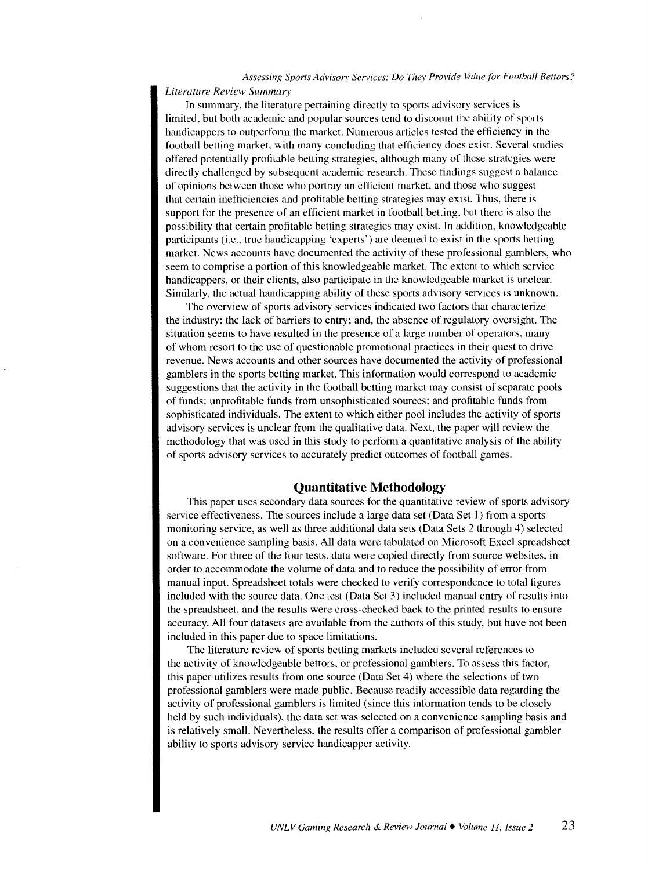#### Assessing Sports Advisory Services: Do They Provide Value for Football Bettors?

#### *Literature Review Summary*

In summary, the literature pertaining directly to sports advisory services is limited, but both academic and popular sources tend to discount the ability of sports handicappers to outperform the market. Numerous articles tested the efficiency in the football betting market, with many concluding that efficiency does exist. Several studies offered potentially profitable betting strategies, although many of these strategies were directly challenged by subsequent academic research. These findings suggest a balance of opinions between those who portray an efficient market. and those who suggest that certain inefficiencies and profitable betting strategies may exist. Thus, there is support for the presence of an efficient market in football betting, but there is also the possibility that certain profitable betting strategies may exist. In addition, knowledgeable participants (i.e., true handicapping 'experts') are deemed to exist in the sports betting market. News accounts have documented the activity of these professional gamblers, who seem to comprise a portion of this knowledgeable market. The extent to which service handicappers, or their clients, also participate in the knowledgeable market is unclear. Similarly, the actual handicapping ability of these sports advisory services is unknown.

The overview of sports advisory services indicated two factors that characterize the industry: the lack of barriers to entry; and, the absence of regulatory oversight. The situation seems to have resulted in the presence of a large number of operators, many of whom resort to the use of questionable promotional practices in their quest to drive revenue. News accounts and other sources have documented the activity of professional gamblers in the sports betting market. This information would correspond to academic suggestions that the activity in the football betting market may consist of separate pools of funds: unprofitable funds from unsophisticated sources: and profitable funds from sophisticated individuals. The extent to which either pool includes the activity of sports advisory services is unclear from the qualitative data. Next, the paper will review the methodology that was used in this study to perform a quantitative analysis of the ability of sports advisory services to accurately predict outcomes of football games.

#### **Quantitative Methodology**

This paper uses secondary data sources for the quantitative review of sports advisory service effectiveness. The sources include a large data set (Data Set 1) from a sports monitoring service, as well as three additional data sets (Data Sets 2 through 4) selected on a convenience sampling basis. All data were tabulated on Microsoft Excel spreadsheet software. For three of the four tests. data were copied directly from source websites, in order to accommodate the volume of data and to reduce the possibility of error from manual input. Spreadsheet totals were checked to verify correspondence to total figures included with the source data. One test (Data Set 3) included manual entry of results into the spreadsheet, and the results were cross-checked back to the printed results to ensure accuracy. All four datasets are available from the authors of this study, but have not been included in this paper due to space limitations.

The literature review of sports betting markets included several references to the activity of knowledgeable bettors, or professional gamblers. To assess this factor, this paper utilizes results from one source (Data Set 4) where the selections of two professional gamblers were made public. Because readily accessible data regarding the activity of professional gamblers is limited (since this information tends to be closely held by such individuals). the data set was selected on a convenience sampling basis and is relatively small. Nevertheless, the results offer a comparison of professional gambler ability to sports advisory service handicapper activity.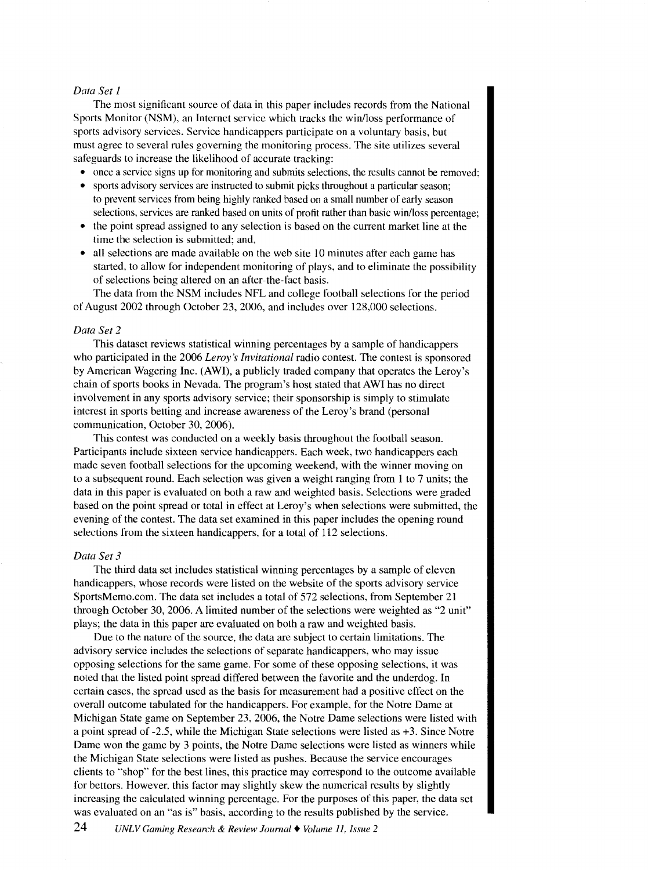#### *Data Set 1*

The most significant source of data in this paper includes records from the National Sports Monitor (NSM), an Internet service which tracks the win/loss performance of sports advisory services. Service handicappers participate on a voluntary basis, but must agree to several rules governing the monitoring process. The site utilizes several safeguards to increase the likelihood of accurate tracking:

- once a service signs up for monitoring and submits selections, the results cannot be removed;
- sports advisory services are instructed to submit picks throughout a particular season; to prevent services from being highly ranked based on a small number of early season selections, services are ranked based on units of profit rather than basic win/loss percentage;
- the point spread assigned to any selection is based on the current market line at the time the selection is submitted; and,
- all selections are made available on the web site 10 minutes after each game has started, to allow for independent monitoring of plays, and to eliminate the possibility of selections being altered on an after-the-fact basis.

The data from the NSM includes NFL and college football selections for the period of August 2002 through October 23, 2006, and includes over 128,000 selections.

#### *Data Set 2*

This dataset reviews statistical winning percentages by a sample of handicappers who participated in the 2006 *Leroy's Invitational* radio contest. The contest is sponsored by American Wagering Inc. (AWl), a publicly traded company that operates the Leroy's chain of sports books in Nevada. The program's host stated that AWl has no direct involvement in any sports advisory service; their sponsorship is simply to stimulate interest in sports betting and increase awareness of the Leroy's brand (personal communication, October 30, 2006).

This contest was conducted on a weekly basis throughout the football season. Participants include sixteen service handicappers. Each week, two handicappers each made seven football selections for the upcoming weekend, with the winner moving on to a subsequent round. Each selection was given a weight ranging from 1 to 7 units; the data in this paper is evaluated on both a raw and weighted basis. Selections were graded based on the point spread or total in effect at Leroy's when selections were submitted, the evening of the contest. The data set examined in this paper includes the opening round selections from the sixteen handicappers, for a total of 112 selections.

#### *Data Set 3*

The third data set includes statistical winning percentages by a sample of eleven handicappers, whose records were listed on the website of the sports advisory service SportsMemo.com. The data set includes a total of 572 selections, from September 21 through October 30, 2006. A limited number of the selections were weighted as "2 unit" plays; the data in this paper are evaluated on both a raw and weighted basis.

Due to the nature of the source, the data are subject to certain limitations. The advisory service includes the selections of separate handicappers, who may issue opposing selections for the same game. For some of these opposing selections, it was noted that the listed point spread differed between the favorite and the underdog. In certain cases, the spread used as the basis for measurement had a positive effect on the overall outcome tabulated for the handicappers. For example, for the Notre Dame at Michigan State game on September 23. 2006, the Notre Dame selections were listed with a point spread of -2.5, while the Michigan State selections were listed as +3. Since Notre Dame won the game by 3 points, the Notre Dame selections were listed as winners while the Michigan State selections were listed as pushes. Because the service encourages clients to "shop" for the best lines, this practice may correspond to the outcome available for bettors. However. this factor may slightly skew the numerical results by slightly increasing the calculated winning percentage. For the purposes of this paper, the data set was evaluated on an "as is" basis, according to the results published by the service.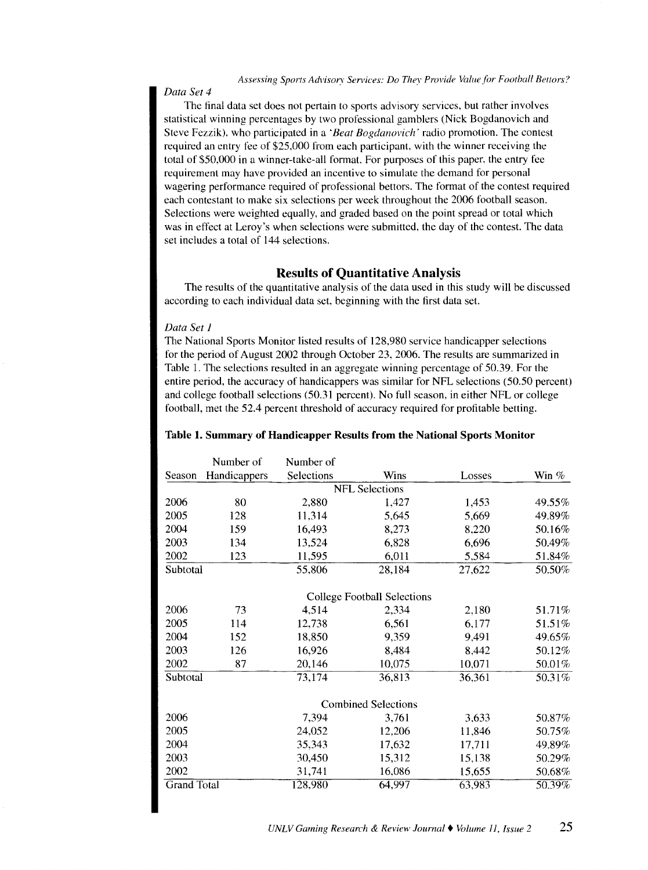#### *Assessing Sports Advisory Services: Do They Provide Value for Football Bettors?*

#### *Data Set4*

The final data set does not pertain to sports advisory services, but rather involves statistical winning percentages by two professional gamblers (Nick Bogdanovich and Steve Fezzik). who participated in a *'Beat Bogdanovich'* radio promotion. The contest required an entry fee of \$25.000 from each participant, with the winner receiving the total of \$50,000 in a winner-take-all format. For purposes of this paper. the entry fee requirement may have provided an incentive to simulate the demand for personal wagering performance required of professional bettors. The format of the contest required each contestant to make six selections per week throughout the 2006 football season. Selections were weighted equally, and graded based on the point spread or total which was in effect at Leroy's when selections were submitted, the day of the contest. The data set includes a total of 144 selections.

#### **Results of Quantitative Analysis**

The results of the quantitative analysis of the data used in this study will be discussed according to each individual data set, beginning with the first data set.

#### *Data Set 1*

The National Sports Monitor listed results of 128,980 service handicapper selections for the period of August 2002 through October 23, 2006. The results are summarized in Table 1. The selections resulted in an aggregate winning percentage of 50.39. For the entire period, the accuracy of handicappers was similar for NFL selections (50.50 percent) and college football selections (50.31 percent). No full season. in either NFL or college football, met the 52.4 percent threshold of accuracy required for profitable betting.

#### **Table 1. Summary of Handicapper Results from the National Sports Monitor**

|                       | Number of    | Number of  |                                    |        |          |  |  |  |  |
|-----------------------|--------------|------------|------------------------------------|--------|----------|--|--|--|--|
| Season                | Handicappers | Selections | Wins                               | Losses | Win $\%$ |  |  |  |  |
| <b>NFL Selections</b> |              |            |                                    |        |          |  |  |  |  |
| 2006                  | 80           | 2,880      | 1,427                              | 1,453  | 49.55%   |  |  |  |  |
| 2005                  | 128          | 11,314     | 5,645                              | 5,669  | 49.89%   |  |  |  |  |
| 2004                  | 159          | 16,493     | 8,273                              | 8,220  | 50.16%   |  |  |  |  |
| 2003                  | 134          | 13,524     | 6,828                              | 6,696  | 50.49%   |  |  |  |  |
| 2002                  | 123          | 11,595     | 6,011                              | 5,584  | 51.84%   |  |  |  |  |
| Subtotal              |              | 55,806     | 28,184                             | 27,622 | 50.50%   |  |  |  |  |
|                       |              |            |                                    |        |          |  |  |  |  |
|                       |              |            | <b>College Football Selections</b> |        |          |  |  |  |  |
| 2006                  | 73           | 4,514      | 2,334                              | 2,180  | 51.71%   |  |  |  |  |
| 2005                  | 114          | 12,738     | 6,561                              | 6,177  | 51.51%   |  |  |  |  |
| 2004                  | 152          | 18,850     | 9,359                              | 9,491  | 49.65%   |  |  |  |  |
| 2003                  | 126          | 16,926     | 8,484                              | 8,442  | 50.12%   |  |  |  |  |
| 2002                  | 87           | 20,146     | 10,075                             | 10,071 | 50.01%   |  |  |  |  |
| Subtotal              |              | 73,174     | 36,813                             | 36,361 | 50.31%   |  |  |  |  |
|                       |              |            |                                    |        |          |  |  |  |  |
|                       |              |            | <b>Combined Selections</b>         |        |          |  |  |  |  |
| 2006                  |              | 7,394      | 3,761                              | 3,633  | 50.87%   |  |  |  |  |
| 2005                  |              | 24,052     | 12,206                             | 11,846 | 50.75%   |  |  |  |  |
| 2004                  |              | 35,343     | 17,632                             | 17,711 | 49.89%   |  |  |  |  |
| 2003                  |              | 30,450     | 15,312                             | 15,138 | 50.29%   |  |  |  |  |
| 2002                  |              | 31,741     | 16,086                             | 15,655 | 50.68%   |  |  |  |  |
| <b>Grand Total</b>    |              | 128,980    | 64,997                             | 63,983 | 50.39%   |  |  |  |  |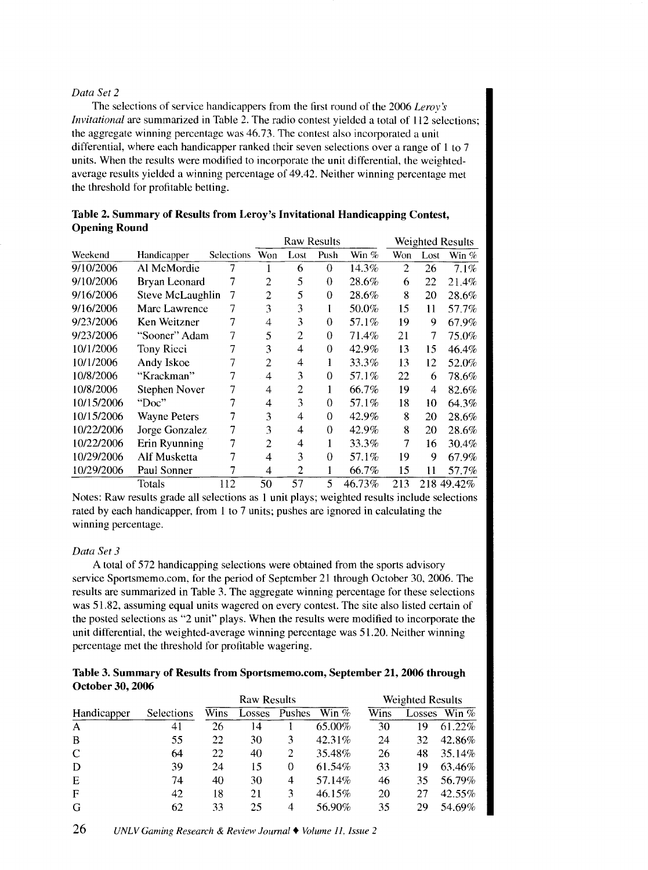#### *Data Set 2*

The selections of service handicappers from the first round of the 2006 *Leroy s Invitational* are summarized in Table 2. The radio contest yielded a total of 112 selections; the aggregate winning percentage was 46.73. The contest also incorporated a unit differential, where each handicapper ranked their seven selections over a range of **1** to 7 units. When the results were modified to incorporate the unit differential, the weightedaverage results yielded a winning percentage of 49.42. Neither winning percentage met the threshold for profitable betting.

|            |                         |            |                |                | <b>Raw Results</b> |         |                |      | <b>Weighted Results</b> |
|------------|-------------------------|------------|----------------|----------------|--------------------|---------|----------------|------|-------------------------|
| Weekend    | Handicapper             | Selections | Won            | Lost           | Push               | Win $%$ | Won            | Lost | Win $\%$                |
| 9/10/2006  | Al McMordie             | 7          |                | 6              | 0                  | 14.3%   | $\overline{2}$ | 26   | 7.1%                    |
| 9/10/2006  | Bryan Leonard           | 7          | 2              | 5              | 0                  | 28.6%   | 6              | 22   | 21.4%                   |
| 9/16/2006  | <b>Steve McLaughlin</b> | 7          | $\overline{c}$ | 5              | $\theta$           | 28.6%   | 8              | 20   | 28.6%                   |
| 9/16/2006  | Marc Lawrence           | 7          | 3              | 3              | I                  | 50.0%   | 15             | 11   | 57.7%                   |
| 9/23/2006  | Ken Weitzner            | 7          | 4              | 3              | $\theta$           | 57.1%   | 19             | 9    | 67.9%                   |
| 9/23/2006  | "Sooner" Adam           | 7          | 5              | 2              | 0                  | 71.4%   | 21             | 7    | 75.0%                   |
| 10/1/2006  | Tony Ricci              | 7          | 3              | 4              | $\overline{0}$     | 42.9%   | 13             | 15   | 46.4%                   |
| 10/1/2006  | Andy Iskoe              |            | $\overline{2}$ | 4              | 1                  | 33.3%   | 13             | 12   | 52.0%                   |
| 10/8/2006  | "Krackman"              | 7          | 4              | 3              | 0                  | 57.1%   | 22             | 6    | 78.6%                   |
| 10/8/2006  | <b>Stephen Nover</b>    |            | 4              | 2              | 1                  | 66.7%   | 19             | 4    | 82.6%                   |
| 10/15/2006 | "Doc"                   |            | 4              | 3              | 0                  | 57.1%   | 18             | 10   | 64.3%                   |
| 10/15/2006 | <b>Wayne Peters</b>     |            | 3              | 4              | 0                  | 42.9%   | 8              | 20   | 28.6%                   |
| 10/22/2006 | Jorge Gonzalez          | 7          | 3              | 4              | 0                  | 42.9%   | 8              | 20   | 28.6%                   |
| 10/22/2006 | Erin Ryunning           | 7          | $\overline{c}$ | 4              | 1                  | 33.3%   | $\tau$         | 16   | 30.4%                   |
| 10/29/2006 | Alf Musketta            | 7          | $\overline{4}$ | 3              | 0                  | 57.1%   | 19             | 9    | 67.9%                   |
| 10/29/2006 | Paul Sonner             | 7          | 4              | $\overline{2}$ | 1                  | 66.7%   | 15             | 11   | 57.7%                   |
|            | Totals                  | 112        | 50             | 57             | 5                  | 46.73%  | 213            |      | 218 49.42%              |

|                      | Table 2. Summary of Results from Leroy's Invitational Handicapping Contest, |  |  |
|----------------------|-----------------------------------------------------------------------------|--|--|
| <b>Opening Round</b> |                                                                             |  |  |

Notes: Raw results grade all selections as **1** unit plays; weighted results include selections rated by each handicapper, from **1** to 7 units; pushes are ignored in calculating the winning percentage.

#### *Data Set 3*

A total of 572 handicapping selections were obtained from the sports advisory service Sportsmemo.com, for the period of September 21 through October 30, 2006. The results are summarized in Table 3. The aggregate winning percentage for these selections was 51.82, assuming equal units wagered on every contest. The site also listed certain of the posted selections as "2 unit" plays. When the results were modified to incorporate the unit differential, the weighted-average winning percentage was 51.20. Neither winning percentage met the threshold for profitable wagering.

#### **Table 3. Summary of Results from Sportsmemo.com, September 21, 2006 through October 30, 2006**

|             |            |      | <b>Weighted Results</b> |        |         |      |                    |         |
|-------------|------------|------|-------------------------|--------|---------|------|--------------------|---------|
| Handicapper | Selections | Wins | <b>Losses</b>           | Pushes | Win $%$ | Wins | $_{\text{Losses}}$ | Win $%$ |
| A           | 41         | 26   | 14                      |        | 65.00%  | 30   | 19                 | 61.22%  |
| B           | 55         | 22   | 30                      | 3      | 42.31%  | 24   | 32                 | 42.86%  |
| $\mathbf C$ | 64         | 22   | 40                      | 2      | 35.48%  | 26   | 48                 | 35.14%  |
| D           | 39         | 24   | 15                      | 0      | 61.54%  | 33   | 19                 | 63.46%  |
| E           | 74         | 40   | 30                      | 4      | 57.14%  | 46   | 35                 | 56.79%  |
| F           | 42         | 18   | 21                      | 3      | 46.15%  | 20   | 27                 | 42.55%  |
| G           | 62         | 33   | 25                      | 4      | 56.90%  | 35   | 29                 | 54.69%  |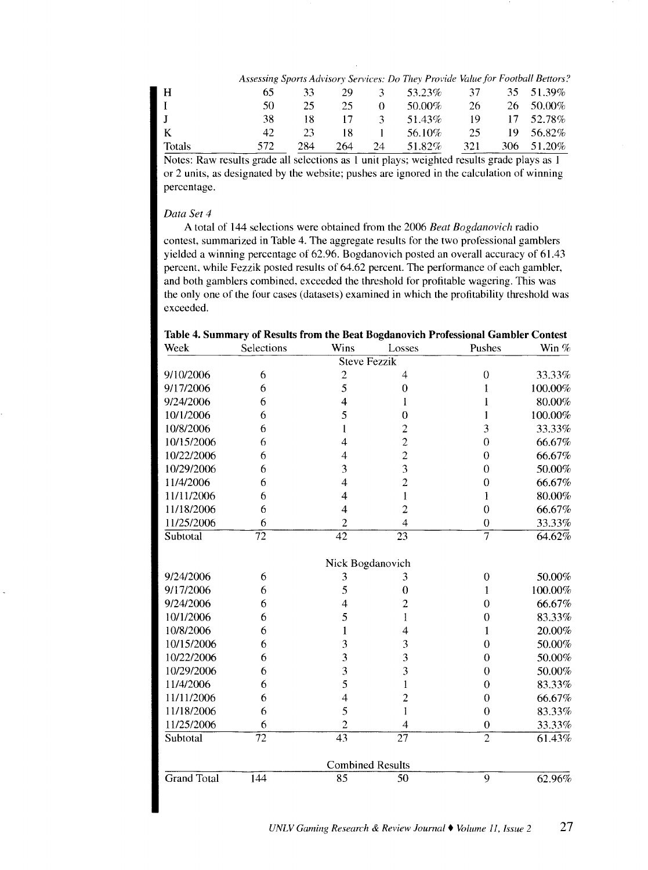|        |     |     |     |    | Assessing Sports Advisory Services: Do They Provide Value for Football Bettors? |     |     |        |
|--------|-----|-----|-----|----|---------------------------------------------------------------------------------|-----|-----|--------|
| - H    | 65  | 33  | 29  |    | 53.23%                                                                          | 37  | 35. | 51.39% |
|        | 50  | 25  | 25  |    | 50.00%                                                                          | 26  | 26. | 50.00% |
|        | 38  | 18  | 17  | 3  | 51.43%                                                                          | 19  |     | 52.78% |
|        | 42  | 23  | 18  |    | 56.10%                                                                          | 25  | 19  | 56.82% |
| Totals | 572 | 284 | 264 | 24 | 51.82%                                                                          | 321 | 306 | 51.20% |

Notes: Raw results grade all selections as 1 unit plays; weighted results grade plays as 1 or 2 units, as designated by the website; pushes are ignored in the calculation of winning percentage.

#### *Data Set4*

A total of 144 selections were obtained from the 2006 *Beat Bogdanovich* radio contest, summarized in Table 4. The aggregate results for the two professional gamblers yielded a winning percentage of 62.96. Bogdanovich posted an overall accuracy of 61.43 percent. while Fezzik posted results of 64.62 percent. The performance of each gambler, and both gamblers combined. exceeded the threshold for profitable wagering. This was the only one of the four cases ( datasets) examined in which the profitability threshold was exceeded.

**Table 4. Summary of Results from the Beat Bogdanovich Professional Gambler Contest** 

| Week               | Selections      | Wins                    | Losses                  | Pushes           | Win $%$              |
|--------------------|-----------------|-------------------------|-------------------------|------------------|----------------------|
|                    |                 | <b>Steve Fezzik</b>     |                         |                  |                      |
| 9/10/2006          | 6               | $\overline{c}$          | 4                       | $\mathbf 0$      | 33.33%               |
| 9/17/2006          | 6               | 5                       | $\boldsymbol{0}$        | 1                | 100.00%              |
| 9/24/2006          | 6               | 4                       | 1                       | 1                | 80.00%               |
| 10/1/2006          | 6               | 5                       | $\mathbf 0$             |                  | 100.00%              |
| 10/8/2006          | 6               | 1                       | $\overline{c}$          | 3                | 33.33%               |
| 10/15/2006         | 6               | 4                       | $\overline{c}$          | $\boldsymbol{0}$ | 66.67%               |
| 10/22/2006         | 6               | 4                       | $\overline{c}$          | $\mathbf 0$      | 66.67%               |
| 10/29/2006         | 6               | 3                       | $\overline{\mathbf{3}}$ | $\boldsymbol{0}$ | 50.00%               |
| 11/4/2006          | 6               | $\overline{4}$          | $\overline{2}$          | $\theta$         | 66.67%               |
| 11/11/2006         | 6               | 4                       | 1                       | 1                | 80.00%               |
| 11/18/2006         | 6               | $\overline{4}$          | $\overline{c}$          | $\theta$         | 66.67%               |
| 11/25/2006         | 6               | $\overline{c}$          | $\overline{4}$          | $\boldsymbol{0}$ | 33.33%               |
| Subtotal           | $\overline{72}$ | $\overline{42}$         | $\overline{23}$         | $\overline{7}$   | $\overline{64.62\%}$ |
|                    |                 | Nick Bogdanovich        |                         |                  |                      |
| 9/24/2006          | 6               | 3                       | 3                       | $\theta$         | 50.00%               |
| 9/17/2006          | 6               | 5                       | $\bf{0}$                | 1                | 100.00%              |
| 9/24/2006          | 6               | 4                       | $\overline{c}$          | $\theta$         | 66.67%               |
| 10/1/2006          | 6               | 5                       | 1                       | $\theta$         | 83.33%               |
| 10/8/2006          | 6               | 1                       | $\overline{4}$          | 1                | 20.00%               |
| 10/15/2006         | 6               | 3                       | $\overline{3}$          | $\theta$         | 50.00%               |
| 10/22/2006         | 6               | $\overline{3}$          | $\overline{\mathbf{3}}$ | $\theta$         | 50.00%               |
| 10/29/2006         | 6               | 3                       | $\overline{\mathbf{3}}$ | $\mathbf 0$      | 50.00%               |
| 11/4/2006          | 6               | 5                       | $\mathbf{1}$            | $\theta$         | 83.33%               |
| 11/11/2006         | 6               | 4                       | $\overline{c}$          | $\theta$         | 66.67%               |
| 11/18/2006         | 6               | 5                       | $\mathbf{I}$            | $\theta$         | 83.33%               |
| 11/25/2006         | 6               | $\overline{c}$          | 4                       | $\theta$         | 33.33%               |
| Subtotal           | $\overline{72}$ | $\overline{43}$         | $\overline{27}$         | $\overline{2}$   | 61.43%               |
|                    |                 | <b>Combined Results</b> |                         |                  |                      |
| <b>Grand Total</b> | 144             | 85                      | 50                      | 9                | 62.96%               |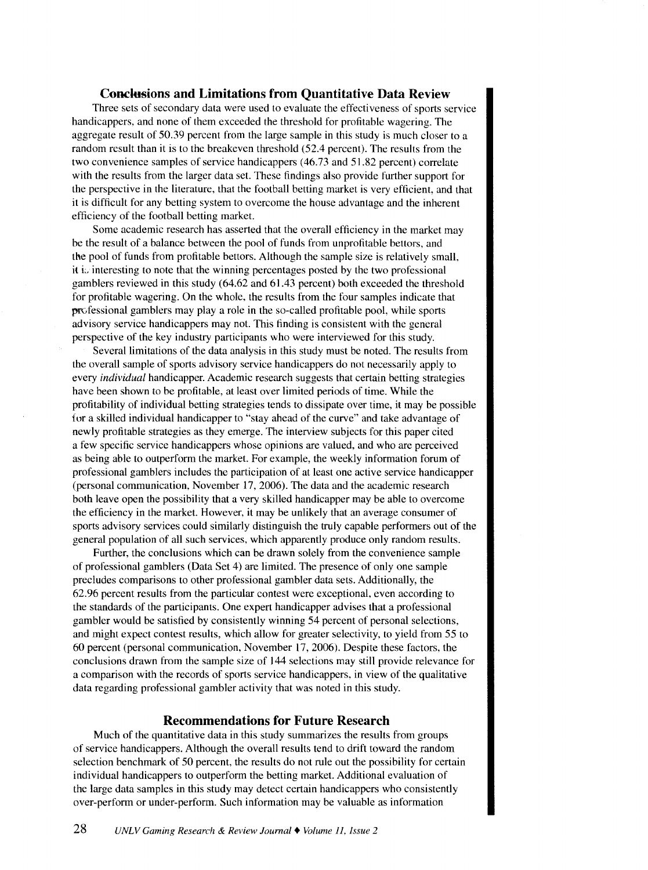#### **Conclusions and Limitations from Quantitative Data Review**

Three sets of secondary data were used to evaluate the effectiveness of sports service handicappers, and none of them exceeded the threshold for profitable wagering. The aggregate result of 50.39 percent from the large sample in this study is much closer to a random result than it is to the breakeven threshold (52.4 percent). The results from the two convenience samples of service handicappers (46.73 and 51.82 percent) correlate with the results from the larger data set. These findings also provide further support for the perspective in the literature, that the football betting market is very efficient, and that it is difficult for any betting system to overcome the house advantage and the inherent efficiency of the football betting market.

Some academic research has asserted that the overall efficiency in the market may be the result of a balance between the pool of funds from unprofitable bettors, and the pool of funds from profitable bettors. Although the sample size is relatively small, it is interesting to note that the winning percentages posted by the two professional gamblers reviewed in this study (64.62 and 61.43 percent) both exceeded the threshold for profitable wagering. On the whole, the results from the four samples indicate that professional gamblers may play a role in the so-called profitable pool, while sports advisory service handicappers may not. This finding is consistent with the general perspective of the key industry participants who were interviewed for this study.

Several limitations of the data analysis in this study must be noted. The results from the overall sample of sports advisory service handicappers do not necessarily apply to every *individual* handicapper. Academic research suggests that certain betting strategies have been shown to be profitable, at least over limited periods of time. While the profitability of individual betting strategies tends to dissipate over time, it may be possible fur a skilled individual handicapper to "stay ahead of the curve" and take advantage of newly profitable strategies as they emerge. The interview subjects for this paper cited a few specific service handicappers whose opinions are valued, and who are perceived as being able to outperform the market. For example, the weekly information forum of professional gamblers includes the participation of at least one active service handicapper (personal communication, November 17, 2006). The data and the academic research both leave open the possibility that a very skilled handicapper may be able to overcome the efficiency in the market. However, it may be unlikely that an average consumer of sports advisory services could similarly distinguish the truly capable performers out of the general population of all such services, which apparently produce only random results.

Further, the conclusions which can be drawn solely from the convenience sample of professional gamblers (Data Set 4) are limited. The presence of only one sample precludes comparisons to other professional gambler data sets. Additionally, the 62.96 percent results from the particular contest were exceptional, even according to the standards of the participants. One expert handicapper advises that a professional gambler would be satisfied by consistently winning 54 percent of personal selections, and might expect contest results, which allow for greater selectivity, to yield from 55 to 60 percent (personal communication, November 17, 2006). Despite these factors, the conclusions drawn from the sample size of 144 selections may still provide relevance for a comparison with the records of sports service handicappers, in view of the qualitative data regarding professional gambler activity that was noted in this study.

### **Recommendations for Future Research**

Much of the quantitative data in this study summarizes the results from groups of service handicappers. Although the overall results tend to drift toward the random selection benchmark of 50 percent, the results do not rule out the possibility for certain individual handicappers to outperform the betting market. Additional evaluation of the large data samples in this study may detect certain handicappers who consistently over-perform or under-perform. Such information may be valuable as information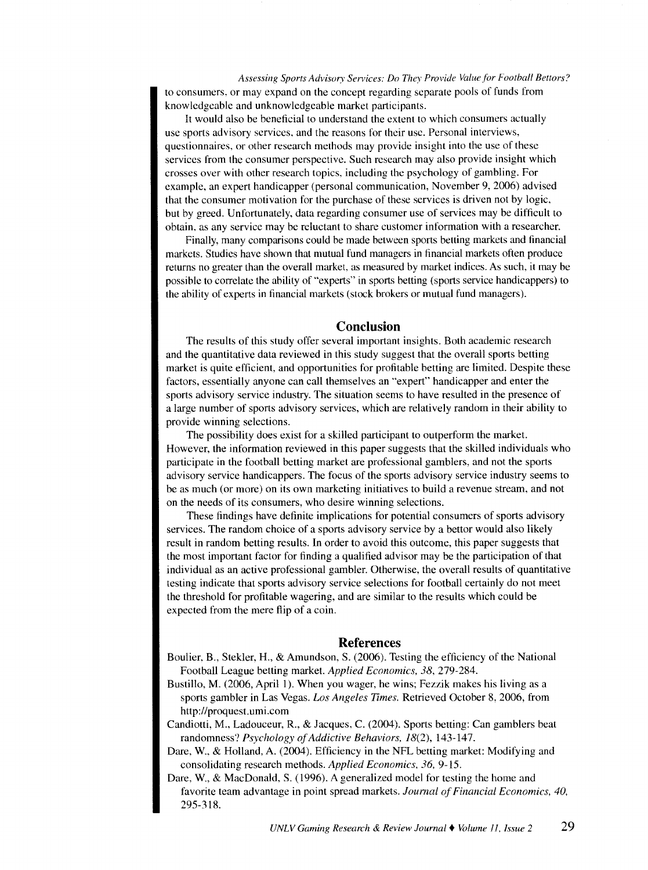*Assessing Sports Advisory Services: Do They Provide Value for Football Bettors?*  to consumers. or may expand on the concept regarding separate pools of funds from knowledgeable and unknowledgeable market participants.

It would also be beneficial to understand the extent to which consumers actually use sports advisory services. and the reasons for their usc. Personal interviews, questionnaires. or other research methods may provide insight into the use of these services from the consumer perspective. Such research may also provide insight which crosses over with other research topics. including the psychology of gambling. For example, an expert handicapper (personal communication, November 9, 2006) advised that the consumer motivation for the purchase of these services is driven not by logic, but by greed. Unfortunately, data regarding consumer use of services may be difficult to obtain, as any service may be reluctant to share customer information with a researcher.

Finally, many comparisons could be made between sports betting markets and financial markets. Studies have shown that mutual fund managers in financial markets often produce returns no greater than the overall market, as measured by market indices. As such, it may be possible to correlate the ability of "experts" in sports betting (sports service handicappers) to the ability of experts in financial markets (stock brokers or mutual fund managers).

#### **Conclusion**

The results of this study offer several important insights. Both academic research and the quantitative data reviewed in this study suggest that the overall sports betting market is quite efficient, and opportunities for profitable betting are limited. Despite these factors, essentially anyone can call themselves an "expert" handicapper and enter the sports advisory service industry. The situation seems to have resulted in the presence of a large number of sports advisory services, which are relatively random in their ability to provide winning selections.

The possibility does exist for a skilled participant to outperform the market. However, the information reviewed in this paper suggests that the skilled individuals who participate in the football betting market are professional gamblers, and not the sports advisory service handicappers. The focus of the sports advisory service industry seems to be as much (or more) on its own marketing initiatives to build a revenue stream, and not on the needs of its consumers, who desire winning selections.

These findings have definite implications for potential consumers of sports advisory services. The random choice of a sports advisory service by a bettor would also likely result in random betting results. In order to avoid this outcome, this paper suggests that the most important factor for finding a qualified advisor may be the participation of that individual as an active professional gambler. Otherwise, the overall results of quantitative testing indicate that sports advisory service selections for football certainly do not meet the threshold for profitable wagering, and are similar to the results which could be expected from the mere flip of a coin.

#### **References**

- Boulier. B., Stekler, H., & Amundson, S. (2006). Testing the efficiency of the National Football League betting market. *Applied Economics, 38,* 279-284.
- Bustillo, M. (2006, April 1). When you wager, he wins; Fezzik makes his living as a sports gambler in Las Vegas. *Los Angeles Times.* Retrieved October 8, 2006, from http://proquest.umi.com
- Candiotti, M., Ladouceur, R., & Jacques, C. (2004). Sports betting: Can gamblers beat randomness? *Psychology of Addictive Behaviors, 18(2),* 143-147.
- Dare, W.. & Holland, A. (2004). Efficiency in the NFL betting market: Modifying and consolidating research methods. *Applied Economics, 36,* 9-15.
- Dare, W., & MacDonald, S. (1996). A generalized model for testing the home and favorite team advantage in point spread markets. *Journal of Financial Economics, 40,*  295-318.